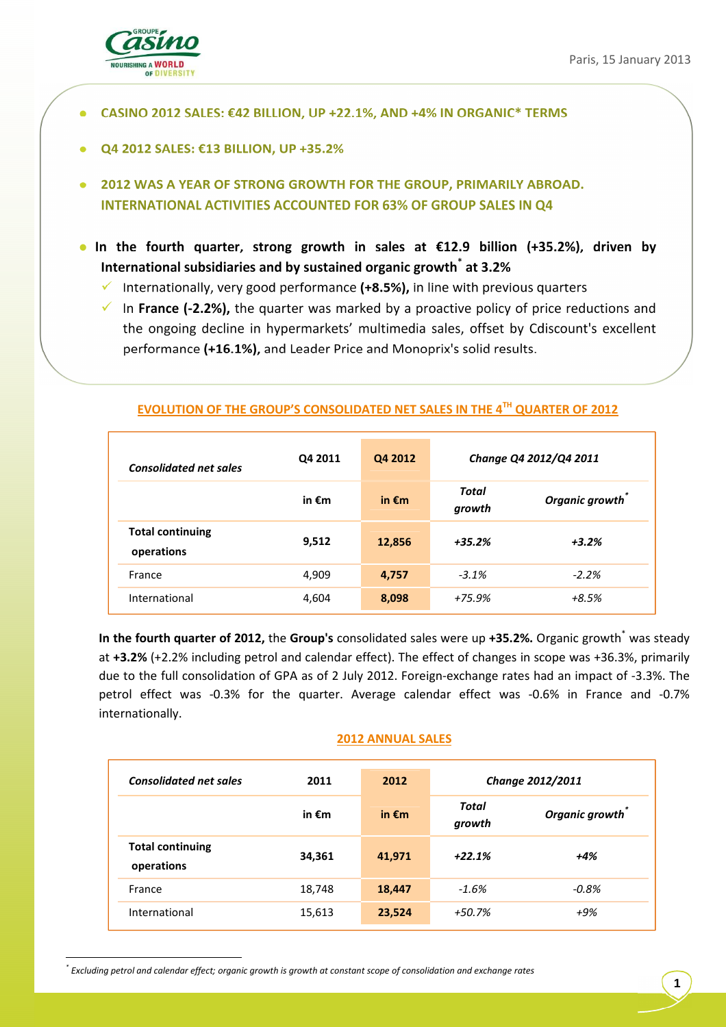

- **CASINO 2012 SALES: €42 BILLION, UP +22.1%, AND +4% IN ORGANIC\* TERMS**
- **Q4 2012 SALES: €13 BILLION, UP +35.2%**
- **2012 WAS A YEAR OF STRONG GROWTH FOR THE GROUP, PRIMARILY ABROAD. INTERNATIONAL ACTIVITIES ACCOUNTED FOR 63% OF GROUP SALES IN Q4**
- **In the fourth quarter, strong growth in sales at €12.9 billion (+35.2%), driven by International subsidiaries and by sustained organic growth\* at 3.2%** 
	- $\checkmark$ Internationally, very good performance **(+8.5%),** in line with previous quarters
	- In **France (-2.2%),** the quarter was marked by a proactive policy of price reductions and the ongoing decline in hypermarkets' multimedia sales, offset by Cdiscount's excellent performance **(+16.1%),** and Leader Price and Monoprix's solid results.

| <b>Consolidated net sales</b>         | Q4 2011 | Q4 2012         | Change Q4 2012/Q4 2011 |                |
|---------------------------------------|---------|-----------------|------------------------|----------------|
|                                       | in €m   | in $\epsilon$ m | Total<br>growth        | Organic growth |
| <b>Total continuing</b><br>operations | 9,512   | 12,856          | +35.2%                 | $+3.2%$        |
| France                                | 4,909   | 4,757           | $-3.1%$                | $-2.2%$        |
| International                         | 4,604   | 8,098           | $+75.9%$               | +8.5%          |

## **EVOLUTION OF THE GROUP'S CONSOLIDATED NET SALES IN THE 4TH QUARTER OF 2012**

In the fourth quarter of 2012, the Group's consolidated sales were up +35.2%. Organic growth<sup>\*</sup> was steady at **+3.2%** (+2.2% including petrol and calendar effect). The effect of changes in scope was +36.3%, primarily due to the full consolidation of GPA as of 2 July 2012. Foreign-exchange rates had an impact of -3.3%. The petrol effect was -0.3% for the quarter. Average calendar effect was -0.6% in France and -0.7% internationally.

## **2012 ANNUAL SALES**

| <b>Consolidated net sales</b>         | 2011            | 2012            | Change 2012/2011 |                             |
|---------------------------------------|-----------------|-----------------|------------------|-----------------------------|
|                                       | in $\epsilon$ m | in $\epsilon$ m | Total<br>growth  | Organic growth <sup>®</sup> |
| <b>Total continuing</b><br>operations | 34,361          | 41,971          | $+22.1%$         | $+4%$                       |
| France                                | 18,748          | 18,447          | $-1.6%$          | $-0.8\%$                    |
| International                         | 15,613          | 23,524          | +50.7%           | +9%                         |

*<sup>\*</sup> Excluding petrol and calendar effect; organic growth is growth at constant scope of consolidation and exchange rates*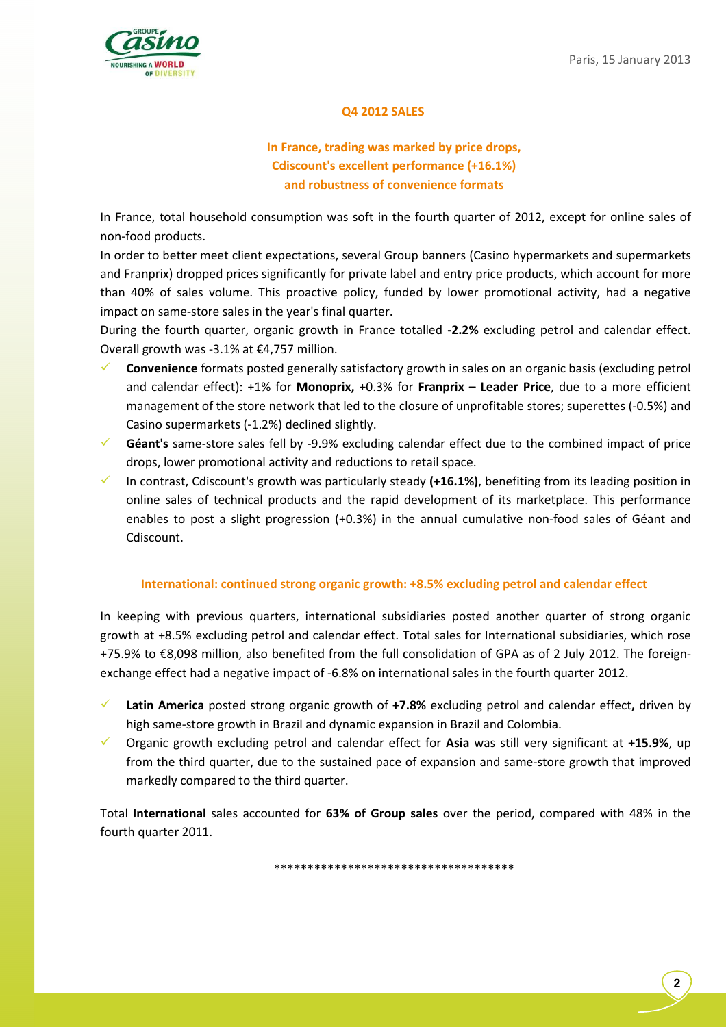

# **Q4 2012 SALES**

# **In France, trading was marked by price drops, Cdiscount's excellent performance (+16.1%) and robustness of convenience formats**

In France, total household consumption was soft in the fourth quarter of 2012, except for online sales of non-food products.

In order to better meet client expectations, several Group banners (Casino hypermarkets and supermarkets and Franprix) dropped prices significantly for private label and entry price products, which account for more than 40% of sales volume. This proactive policy, funded by lower promotional activity, had a negative impact on same-store sales in the year's final quarter.

During the fourth quarter, organic growth in France totalled **-2.2%** excluding petrol and calendar effect. Overall growth was -3.1% at €4,757 million.

- $\checkmark$  **Convenience** formats posted generally satisfactory growth in sales on an organic basis (excluding petrol and calendar effect): +1% for **Monoprix,** +0.3% for **Franprix – Leader Price**, due to a more efficient management of the store network that led to the closure of unprofitable stores; superettes (-0.5%) and Casino supermarkets (-1.2%) declined slightly.
- $\checkmark$  **Géant's** same-store sales fell by -9.9% excluding calendar effect due to the combined impact of price drops, lower promotional activity and reductions to retail space.
- $\checkmark$  In contrast, Cdiscount's growth was particularly steady **(+16.1%)**, benefiting from its leading position in online sales of technical products and the rapid development of its marketplace. This performance enables to post a slight progression (+0.3%) in the annual cumulative non-food sales of Géant and Cdiscount.

## **International: continued strong organic growth: +8.5% excluding petrol and calendar effect**

In keeping with previous quarters, international subsidiaries posted another quarter of strong organic growth at +8.5% excluding petrol and calendar effect. Total sales for International subsidiaries, which rose +75.9% to €8,098 million, also benefited from the full consolidation of GPA as of 2 July 2012. The foreignexchange effect had a negative impact of -6.8% on international sales in the fourth quarter 2012.

- $\checkmark$  **Latin America** posted strong organic growth of **+7.8%** excluding petrol and calendar effect**,** driven by high same-store growth in Brazil and dynamic expansion in Brazil and Colombia.
- $\checkmark$  Organic growth excluding petrol and calendar effect for **Asia** was still very significant at **+15.9%**, up from the third quarter, due to the sustained pace of expansion and same-store growth that improved markedly compared to the third quarter.

Total **International** sales accounted for **63% of Group sales** over the period, compared with 48% in the fourth quarter 2011.

\*\*\*\*\*\*\*\*\*\*\*\*\*\*\*\*\*\*\*\*\*\*\*\*\*\*\*\*\*\*\*\*\*\*\*\*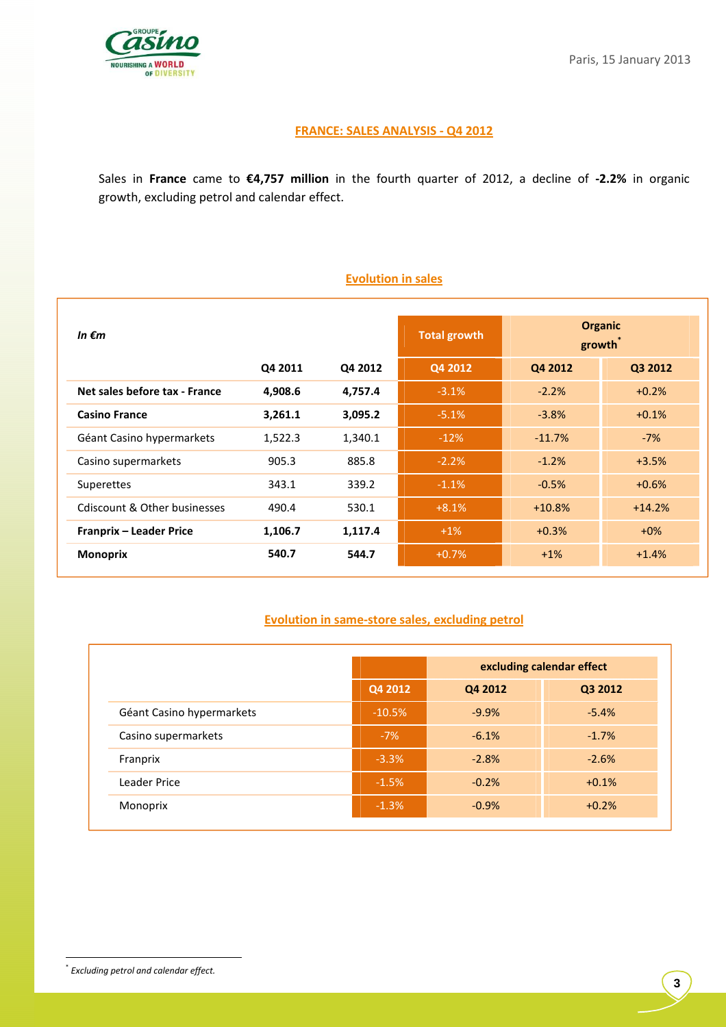

## **FRANCE: SALES ANALYSIS - Q4 2012**

Sales in **France** came to **€4,757 million** in the fourth quarter of 2012, a decline of **-2.2%** in organic growth, excluding petrol and calendar effect.

# **Evolution in sales**

| In $\epsilon$ m               |         |         | <b>Total growth</b> | <b>Organic</b><br>growth |          |  |
|-------------------------------|---------|---------|---------------------|--------------------------|----------|--|
|                               | Q4 2011 | Q4 2012 | Q4 2012             | Q4 2012                  | Q3 2012  |  |
| Net sales before tax - France | 4,908.6 | 4,757.4 | $-3.1%$             | $-2.2%$                  | $+0.2%$  |  |
| <b>Casino France</b>          | 3,261.1 | 3,095.2 | $-5.1%$             | $-3.8%$                  | $+0.1%$  |  |
| Géant Casino hypermarkets     | 1,522.3 | 1,340.1 | $-12%$              | $-11.7%$                 | $-7%$    |  |
| Casino supermarkets           | 905.3   | 885.8   | $-2.2%$             | $-1.2%$                  | $+3.5%$  |  |
| <b>Superettes</b>             | 343.1   | 339.2   | $-1.1%$             | $-0.5%$                  | $+0.6%$  |  |
| Cdiscount & Other businesses  | 490.4   | 530.1   | $+8.1%$             | $+10.8%$                 | $+14.2%$ |  |
| Franprix - Leader Price       | 1,106.7 | 1,117.4 | $+1\%$              | $+0.3%$                  | $+0\%$   |  |
| <b>Monoprix</b>               | 540.7   | 544.7   | $+0.7%$             | $+1\%$                   | $+1.4%$  |  |

# **Evolution in same-store sales, excluding petrol**

|                           |          | excluding calendar effect |         |  |  |
|---------------------------|----------|---------------------------|---------|--|--|
|                           | Q4 2012  | Q4 2012<br>Q3 2012        |         |  |  |
| Géant Casino hypermarkets | $-10.5%$ | $-9.9%$                   | $-5.4%$ |  |  |
| Casino supermarkets       | $-7%$    | $-6.1%$                   | $-1.7%$ |  |  |
| Franprix                  | $-3.3%$  | $-2.8%$                   | $-2.6%$ |  |  |
| Leader Price              | $-1.5%$  | $-0.2%$                   | $+0.1%$ |  |  |
| Monoprix                  | $-1.3%$  | $-0.9%$                   | $+0.2%$ |  |  |

<sup>\*</sup> *Excluding petrol and calendar effect.*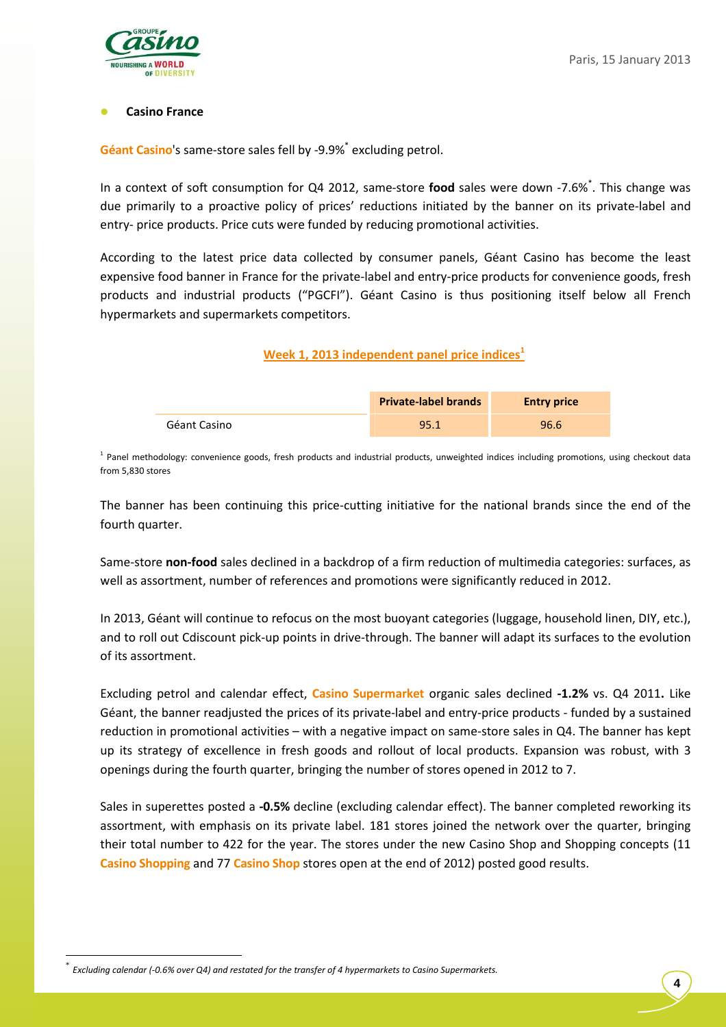

## **Casino France**

Géant Casino's same-store sales fell by -9.9%<sup>\*</sup> excluding petrol.

In a context of soft consumption for Q4 2012, same-store **food** sales were down -7.6%\* . This change was due primarily to a proactive policy of prices' reductions initiated by the banner on its private-label and entry- price products. Price cuts were funded by reducing promotional activities.

According to the latest price data collected by consumer panels, Géant Casino has become the least expensive food banner in France for the private-label and entry-price products for convenience goods, fresh products and industrial products ("PGCFI"). Géant Casino is thus positioning itself below all French hypermarkets and supermarkets competitors.

# **Week 1, 2013 independent panel price indices<sup>1</sup>**

|              | <b>Private-label brands</b> | <b>Entry price</b> |
|--------------|-----------------------------|--------------------|
| Géant Casino | 95.1                        | 96.6               |

<sup>1</sup> Panel methodology: convenience goods, fresh products and industrial products, unweighted indices including promotions, using checkout data from 5,830 stores

The banner has been continuing this price-cutting initiative for the national brands since the end of the fourth quarter.

Same-store **non-food** sales declined in a backdrop of a firm reduction of multimedia categories: surfaces, as well as assortment, number of references and promotions were significantly reduced in 2012.

In 2013, Géant will continue to refocus on the most buoyant categories (luggage, household linen, DIY, etc.), and to roll out Cdiscount pick-up points in drive-through. The banner will adapt its surfaces to the evolution of its assortment.

Excluding petrol and calendar effect, **Casino Supermarket** organic sales declined **-1.2%** vs. Q4 2011**.** Like Géant, the banner readjusted the prices of its private-label and entry-price products - funded by a sustained reduction in promotional activities – with a negative impact on same-store sales in Q4. The banner has kept up its strategy of excellence in fresh goods and rollout of local products. Expansion was robust, with 3 openings during the fourth quarter, bringing the number of stores opened in 2012 to 7.

Sales in superettes posted a **-0.5%** decline (excluding calendar effect). The banner completed reworking its assortment, with emphasis on its private label. 181 stores joined the network over the quarter, bringing their total number to 422 for the year. The stores under the new Casino Shop and Shopping concepts (11 **Casino Shopping** and 77 **Casino Shop** stores open at the end of 2012) posted good results.

<sup>\*</sup> *Excluding calendar (-0.6% over Q4) and restated for the transfer of 4 hypermarkets to Casino Supermarkets.*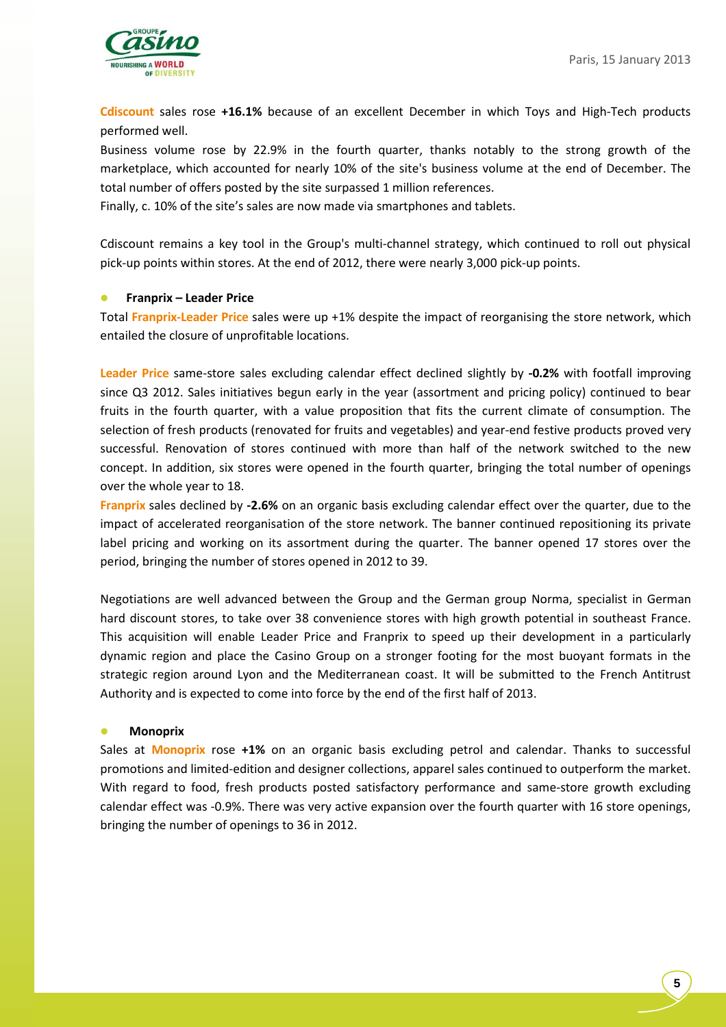

**Cdiscount** sales rose **+16.1%** because of an excellent December in which Toys and High-Tech products performed well.

Business volume rose by 22.9% in the fourth quarter, thanks notably to the strong growth of the marketplace, which accounted for nearly 10% of the site's business volume at the end of December. The total number of offers posted by the site surpassed 1 million references.

Finally, c. 10% of the site's sales are now made via smartphones and tablets.

Cdiscount remains a key tool in the Group's multi-channel strategy, which continued to roll out physical pick-up points within stores. At the end of 2012, there were nearly 3,000 pick-up points.

#### **Franprix – Leader Price**

Total **Franprix-Leader Price** sales were up +1% despite the impact of reorganising the store network, which entailed the closure of unprofitable locations.

**Leader Price** same-store sales excluding calendar effect declined slightly by **-0.2%** with footfall improving since Q3 2012. Sales initiatives begun early in the year (assortment and pricing policy) continued to bear fruits in the fourth quarter, with a value proposition that fits the current climate of consumption. The selection of fresh products (renovated for fruits and vegetables) and year-end festive products proved very successful. Renovation of stores continued with more than half of the network switched to the new concept. In addition, six stores were opened in the fourth quarter, bringing the total number of openings over the whole year to 18.

**Franprix** sales declined by **-2.6%** on an organic basis excluding calendar effect over the quarter, due to the impact of accelerated reorganisation of the store network. The banner continued repositioning its private label pricing and working on its assortment during the quarter. The banner opened 17 stores over the period, bringing the number of stores opened in 2012 to 39.

Negotiations are well advanced between the Group and the German group Norma, specialist in German hard discount stores, to take over 38 convenience stores with high growth potential in southeast France. This acquisition will enable Leader Price and Franprix to speed up their development in a particularly dynamic region and place the Casino Group on a stronger footing for the most buoyant formats in the strategic region around Lyon and the Mediterranean coast. It will be submitted to the French Antitrust Authority and is expected to come into force by the end of the first half of 2013.

#### **Monoprix**

Sales at **Monoprix** rose **+1%** on an organic basis excluding petrol and calendar. Thanks to successful promotions and limited-edition and designer collections, apparel sales continued to outperform the market. With regard to food, fresh products posted satisfactory performance and same-store growth excluding calendar effect was -0.9%. There was very active expansion over the fourth quarter with 16 store openings, bringing the number of openings to 36 in 2012.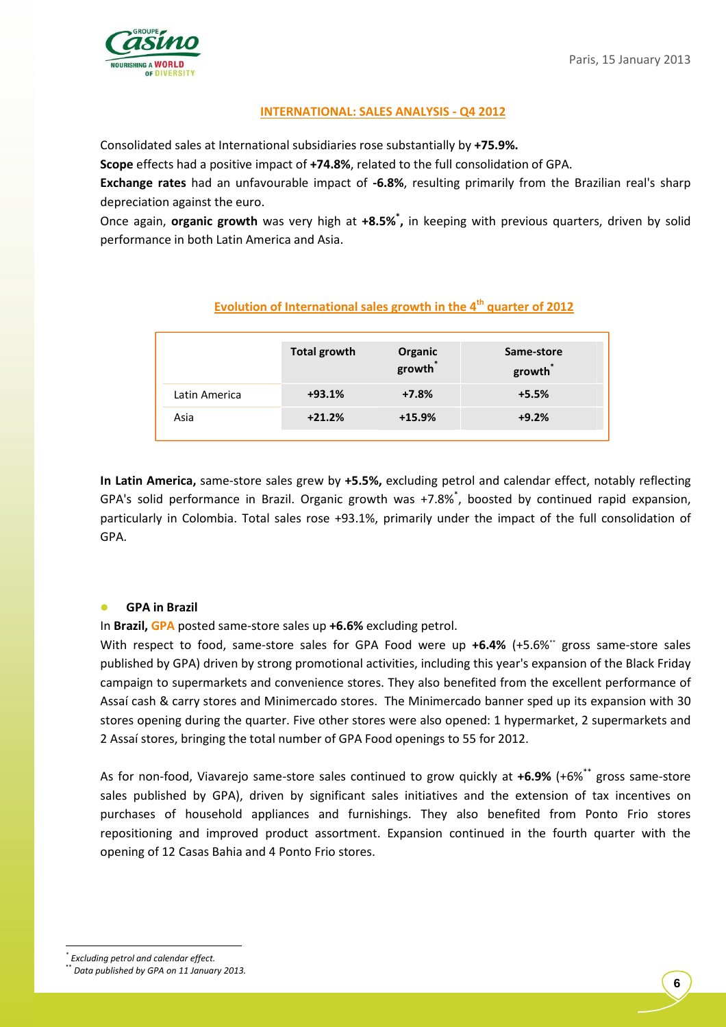

## **INTERNATIONAL: SALES ANALYSIS - Q4 2012**

Consolidated sales at International subsidiaries rose substantially by **+75.9%.**

**Scope** effects had a positive impact of **+74.8%**, related to the full consolidation of GPA.

**Exchange rates** had an unfavourable impact of **-6.8%**, resulting primarily from the Brazilian real's sharp depreciation against the euro.

Once again, **organic growth** was very high at **+8.5%\* ,** in keeping with previous quarters, driven by solid performance in both Latin America and Asia.

|               | Total growth | Organic<br>growth | Same-store<br>growth |
|---------------|--------------|-------------------|----------------------|
| Latin America | $+93.1%$     | $+7.8%$           | $+5.5%$              |
| Asia          | $+21.2%$     | $+15.9%$          | $+9.2%$              |

# **Evolution of International sales growth in the 4th quarter of 2012**

**In Latin America,** same-store sales grew by **+5.5%,** excluding petrol and calendar effect, notably reflecting GPA's solid performance in Brazil. Organic growth was +7.8%\* , boosted by continued rapid expansion, particularly in Colombia. Total sales rose +93.1%, primarily under the impact of the full consolidation of GPA.

## **GPA in Brazil**

In **Brazil, GPA** posted same-store sales up **+6.6%** excluding petrol.

With respect to food, same-store sales for GPA Food were up **+6.4%** (+5.6%" gross same-store sales published by GPA) driven by strong promotional activities, including this year's expansion of the Black Friday campaign to supermarkets and convenience stores. They also benefited from the excellent performance of Assaí cash & carry stores and Minimercado stores. The Minimercado banner sped up its expansion with 30 stores opening during the quarter. Five other stores were also opened: 1 hypermarket, 2 supermarkets and 2 Assaí stores, bringing the total number of GPA Food openings to 55 for 2012.

As for non-food, Viavarejo same-store sales continued to grow quickly at **+6.9%** (+6%\*\* gross same-store sales published by GPA), driven by significant sales initiatives and the extension of tax incentives on purchases of household appliances and furnishings. They also benefited from Ponto Frio stores repositioning and improved product assortment. Expansion continued in the fourth quarter with the opening of 12 Casas Bahia and 4 Ponto Frio stores.

*<sup>\*</sup> Excluding petrol and calendar effect.* 

<sup>\*\*</sup> *Data published by GPA on 11 January 2013.*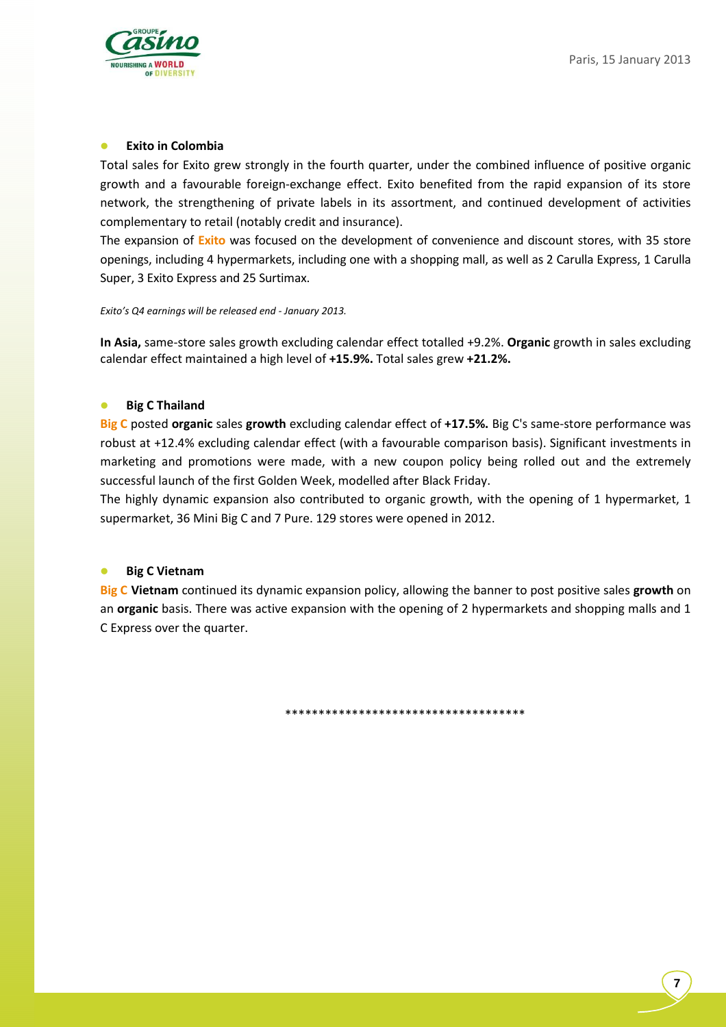

#### **Exito in Colombia**

Total sales for Exito grew strongly in the fourth quarter, under the combined influence of positive organic growth and a favourable foreign-exchange effect. Exito benefited from the rapid expansion of its store network, the strengthening of private labels in its assortment, and continued development of activities complementary to retail (notably credit and insurance).

The expansion of **Exito** was focused on the development of convenience and discount stores, with 35 store openings, including 4 hypermarkets, including one with a shopping mall, as well as 2 Carulla Express, 1 Carulla Super, 3 Exito Express and 25 Surtimax.

*Exito's Q4 earnings will be released end - January 2013.* 

**In Asia,** same-store sales growth excluding calendar effect totalled +9.2%. **Organic** growth in sales excluding calendar effect maintained a high level of **+15.9%.** Total sales grew **+21.2%.**

## **Big C Thailand**

**Big C** posted **organic** sales **growth** excluding calendar effect of **+17.5%.** Big C's same-store performance was robust at +12.4% excluding calendar effect (with a favourable comparison basis). Significant investments in marketing and promotions were made, with a new coupon policy being rolled out and the extremely successful launch of the first Golden Week, modelled after Black Friday.

The highly dynamic expansion also contributed to organic growth, with the opening of 1 hypermarket, 1 supermarket, 36 Mini Big C and 7 Pure. 129 stores were opened in 2012.

#### **Big C Vietnam**

**Big C Vietnam** continued its dynamic expansion policy, allowing the banner to post positive sales **growth** on an **organic** basis. There was active expansion with the opening of 2 hypermarkets and shopping malls and 1 C Express over the quarter.

\*\*\*\*\*\*\*\*\*\*\*\*\*\*\*\*\*\*\*\*\*\*\*\*\*\*\*\*\*\*\*\*\*\*\*\*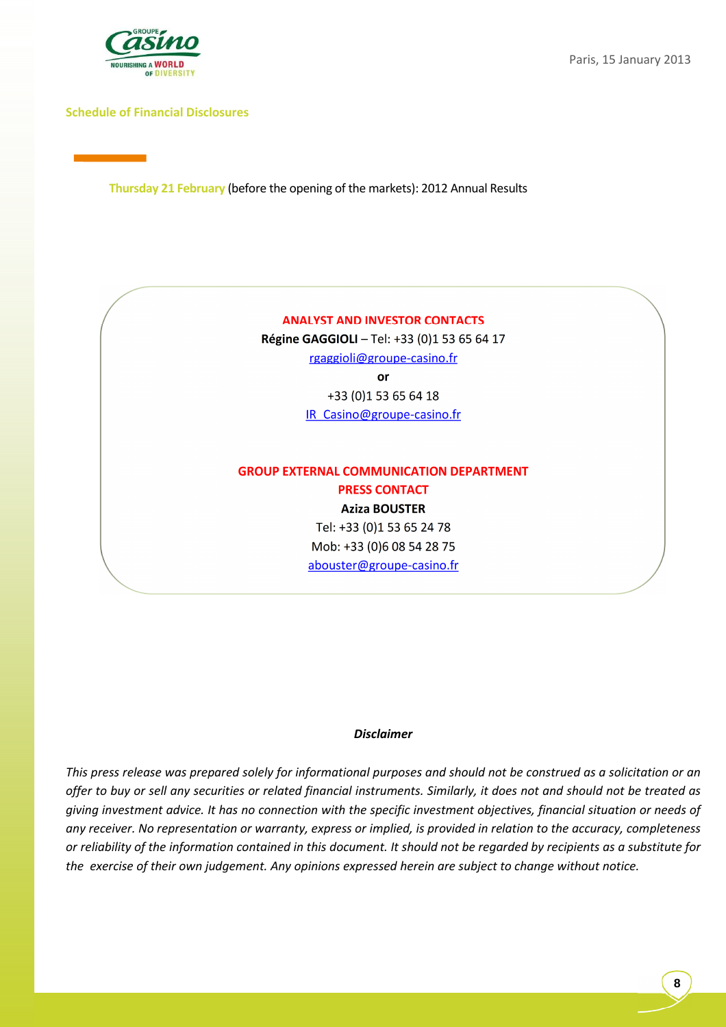

### **Schedule of Financial Disclosures**

**Thursday 21 February** (before the opening of the markets): 2012 Annual Results

#### **ANALYST AND INVESTOR CONTACTS**

**Régine GAGGIOLI** – Tel: +33 (0)1 53 65 64 17 rgaggioli@groupe-casino.fr **or**  +33 (0)1 53 65 64 18 IR\_Casino@groupe-casino.fr

# **GROUP EXTERNAL COMMUNICATION DEPARTMENT PRESS CONTACT**

**Aziza BOUSTER**  Tel: +33 (0)1 53 65 24 78 Mob: +33 (0)6 08 54 28 75 abouster@groupe-casino.fr

#### *Disclaimer*

*This press release was prepared solely for informational purposes and should not be construed as a solicitation or an offer to buy or sell any securities or related financial instruments. Similarly, it does not and should not be treated as giving investment advice. It has no connection with the specific investment objectives, financial situation or needs of any receiver. No representation or warranty, express or implied, is provided in relation to the accuracy, completeness or reliability of the information contained in this document. It should not be regarded by recipients as a substitute for the exercise of their own judgement. Any opinions expressed herein are subject to change without notice.*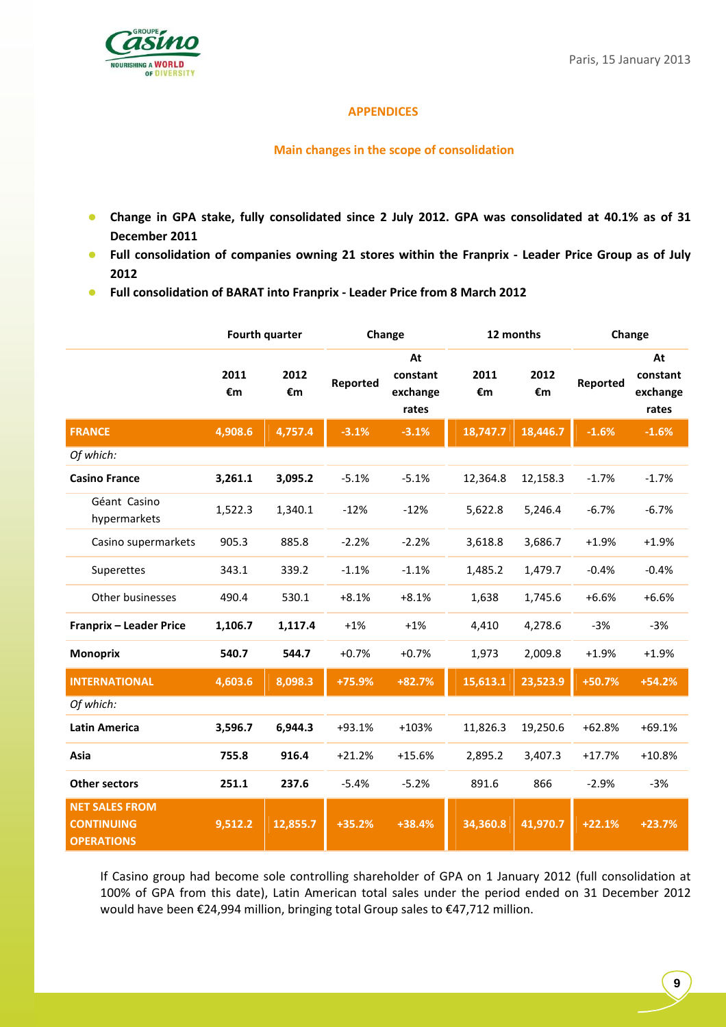

#### **APPENDICES**

## **Main changes in the scope of consolidation**

- **Change in GPA stake, fully consolidated since 2 July 2012. GPA was consolidated at 40.1% as of 31 December 2011**
- **Full consolidation of companies owning 21 stores within the Franprix Leader Price Group as of July 2012**
- **Full consolidation of BARAT into Franprix Leader Price from 8 March 2012**

|                                                                 |            | <b>Fourth quarter</b> |          | Change                              | 12 months  |            | Change   |                                     |
|-----------------------------------------------------------------|------------|-----------------------|----------|-------------------------------------|------------|------------|----------|-------------------------------------|
|                                                                 | 2011<br>€m | 2012<br>€m            | Reported | At<br>constant<br>exchange<br>rates | 2011<br>€m | 2012<br>€m | Reported | At<br>constant<br>exchange<br>rates |
| <b>FRANCE</b>                                                   | 4,908.6    | 4,757.4               | $-3.1%$  | $-3.1%$                             | 18,747.7   | 18,446.7   | $-1.6%$  | $-1.6%$                             |
| Of which:                                                       |            |                       |          |                                     |            |            |          |                                     |
| <b>Casino France</b>                                            | 3,261.1    | 3,095.2               | $-5.1%$  | $-5.1%$                             | 12,364.8   | 12,158.3   | $-1.7%$  | $-1.7%$                             |
| Géant Casino<br>hypermarkets                                    | 1,522.3    | 1,340.1               | $-12%$   | $-12%$                              | 5,622.8    | 5,246.4    | $-6.7%$  | $-6.7%$                             |
| Casino supermarkets                                             | 905.3      | 885.8                 | $-2.2%$  | $-2.2%$                             | 3,618.8    | 3,686.7    | $+1.9%$  | $+1.9%$                             |
| Superettes                                                      | 343.1      | 339.2                 | $-1.1%$  | $-1.1%$                             | 1,485.2    | 1,479.7    | $-0.4%$  | $-0.4%$                             |
| Other businesses                                                | 490.4      | 530.1                 | $+8.1%$  | $+8.1%$                             | 1,638      | 1,745.6    | $+6.6%$  | $+6.6%$                             |
| Franprix - Leader Price                                         | 1,106.7    | 1,117.4               | $+1%$    | $+1%$                               | 4,410      | 4,278.6    | $-3%$    | $-3%$                               |
| <b>Monoprix</b>                                                 | 540.7      | 544.7                 | $+0.7%$  | $+0.7%$                             | 1,973      | 2,009.8    | $+1.9%$  | $+1.9%$                             |
| <b>INTERNATIONAL</b>                                            | 4,603.6    | 8,098.3               | +75.9%   | $+82.7%$                            | 15,613.1   | 23,523.9   | +50.7%   | $+54.2%$                            |
| Of which:                                                       |            |                       |          |                                     |            |            |          |                                     |
| <b>Latin America</b>                                            | 3,596.7    | 6,944.3               | +93.1%   | $+103%$                             | 11,826.3   | 19,250.6   | $+62.8%$ | $+69.1%$                            |
| Asia                                                            | 755.8      | 916.4                 | $+21.2%$ | $+15.6%$                            | 2,895.2    | 3,407.3    | $+17.7%$ | $+10.8%$                            |
| <b>Other sectors</b>                                            | 251.1      | 237.6                 | $-5.4%$  | $-5.2%$                             | 891.6      | 866        | $-2.9%$  | $-3%$                               |
| <b>NET SALES FROM</b><br><b>CONTINUING</b><br><b>OPERATIONS</b> | 9,512.2    | 12,855.7              | +35.2%   | $+38.4%$                            | 34,360.8   | 41,970.7   | $+22.1%$ | $+23.7%$                            |

If Casino group had become sole controlling shareholder of GPA on 1 January 2012 (full consolidation at 100% of GPA from this date), Latin American total sales under the period ended on 31 December 2012 would have been €24,994 million, bringing total Group sales to €47,712 million.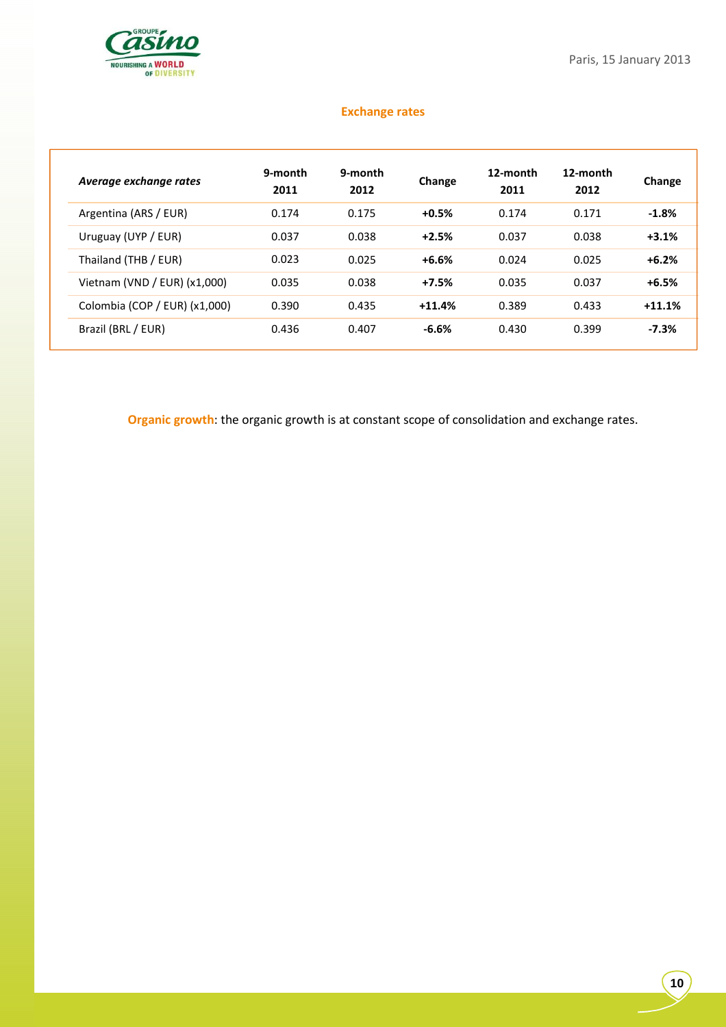

# **Exchange rates**

| Average exchange rates         | 9-month<br>2011 | 9-month<br>2012 | Change   | 12-month<br>2011 | 12-month<br>2012 | Change   |
|--------------------------------|-----------------|-----------------|----------|------------------|------------------|----------|
| Argentina (ARS / EUR)          | 0.174           | 0.175           | $+0.5%$  | 0.174            | 0.171            | $-1.8%$  |
| Uruguay (UYP / EUR)            | 0.037           | 0.038           | $+2.5%$  | 0.037            | 0.038            | $+3.1%$  |
| Thailand (THB / EUR)           | 0.023           | 0.025           | $+6.6%$  | 0.024            | 0.025            | $+6.2%$  |
| Vietnam (VND / EUR) $(x1,000)$ | 0.035           | 0.038           | $+7.5%$  | 0.035            | 0.037            | $+6.5%$  |
| Colombia (COP / EUR) (x1,000)  | 0.390           | 0.435           | $+11.4%$ | 0.389            | 0.433            | $+11.1%$ |
| Brazil (BRL / EUR)             | 0.436           | 0.407           | $-6.6%$  | 0.430            | 0.399            | $-7.3%$  |

**Organic growth**: the organic growth is at constant scope of consolidation and exchange rates.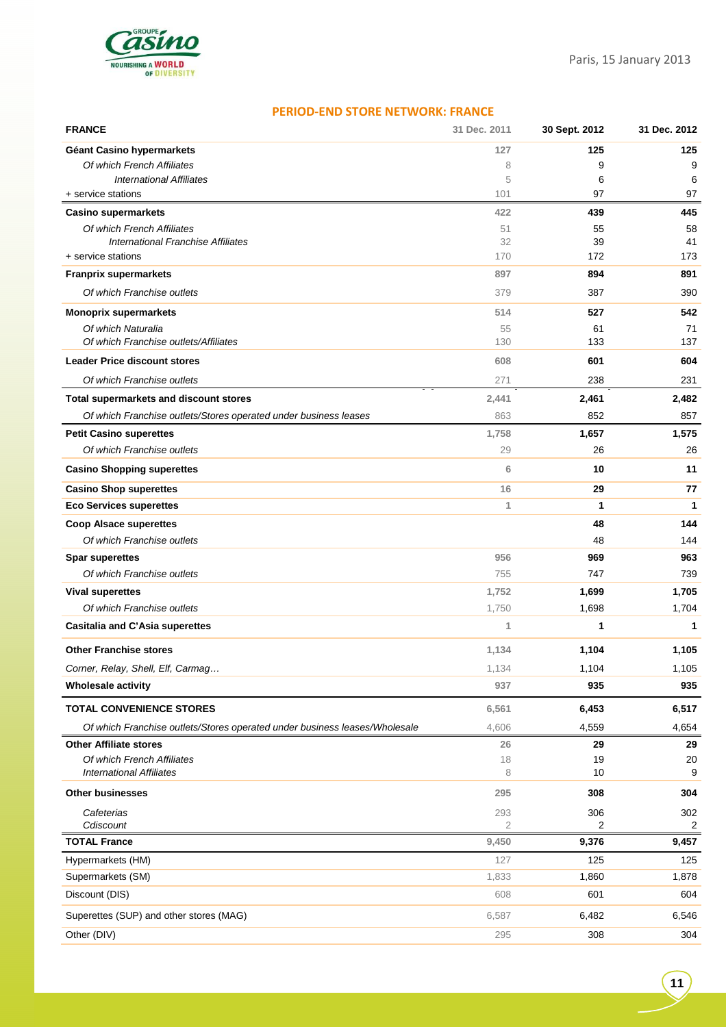

## **PERIOD-END STORE NETWORK: FRANCE**

| <b>FRANCE</b>                                                              | 31 Dec. 2011   | 30 Sept. 2012 | 31 Dec. 2012 |
|----------------------------------------------------------------------------|----------------|---------------|--------------|
| Géant Casino hypermarkets                                                  | 127            | 125           | 125          |
| Of which French Affiliates                                                 | 8              | 9             | 9            |
| <b>International Affiliates</b>                                            | 5              | 6             | 6            |
| + service stations                                                         | 101            | 97            | 97           |
| <b>Casino supermarkets</b>                                                 | 422            | 439           | 445          |
| Of which French Affiliates<br>International Franchise Affiliates           | 51<br>32       | 55<br>39      | 58<br>41     |
| + service stations                                                         | 170            | 172           | 173          |
| <b>Franprix supermarkets</b>                                               | 897            | 894           | 891          |
| Of which Franchise outlets                                                 | 379            | 387           | 390          |
| <b>Monoprix supermarkets</b>                                               | 514            | 527           | 542          |
| Of which Naturalia                                                         | 55             | 61            | 71           |
| Of which Franchise outlets/Affiliates                                      | 130            | 133           | 137          |
| <b>Leader Price discount stores</b>                                        | 608            | 601           | 604          |
| Of which Franchise outlets                                                 | 271            | 238           | 231          |
| Total supermarkets and discount stores                                     | 2,441          | 2,461         | 2,482        |
| Of which Franchise outlets/Stores operated under business leases           | 863            | 852           | 857          |
| <b>Petit Casino superettes</b>                                             | 1,758          | 1,657         | 1,575        |
| Of which Franchise outlets                                                 | 29             | 26            | 26           |
| <b>Casino Shopping superettes</b>                                          | 6              | 10            | 11           |
| <b>Casino Shop superettes</b>                                              | 16             | 29            | 77           |
| <b>Eco Services superettes</b>                                             | 1              | 1             | 1            |
| <b>Coop Alsace superettes</b>                                              |                | 48            | 144          |
| Of which Franchise outlets                                                 |                | 48            | 144          |
| <b>Spar superettes</b>                                                     | 956            | 969           | 963          |
| Of which Franchise outlets                                                 | 755            | 747           | 739          |
| <b>Vival superettes</b>                                                    | 1,752          | 1,699         | 1,705        |
| Of which Franchise outlets                                                 | 1,750          | 1,698         | 1,704        |
| <b>Casitalia and C'Asia superettes</b>                                     | 1              | 1             | 1            |
| <b>Other Franchise stores</b>                                              | 1,134          | 1,104         | 1,105        |
| Corner, Relay, Shell, Elf, Carmag                                          | 1,134          | 1,104         | 1,105        |
| <b>Wholesale activity</b>                                                  | 937            | 935           | 935          |
| <b>TOTAL CONVENIENCE STORES</b>                                            | 6,561          | 6,453         | 6,517        |
| Of which Franchise outlets/Stores operated under business leases/Wholesale | 4,606          | 4,559         | 4,654        |
| <b>Other Affiliate stores</b>                                              | 26             | 29            | 29           |
| Of which French Affiliates<br><b>International Affiliates</b>              | 18<br>8        | 19<br>10      | 20<br>9      |
| <b>Other businesses</b>                                                    | 295            | 308           | 304          |
| Cafeterias                                                                 | 293            | 306           | 302          |
| Cdiscount                                                                  | $\overline{2}$ | 2             | 2            |
| <b>TOTAL France</b>                                                        | 9,450          | 9,376         | 9,457        |
| Hypermarkets (HM)                                                          | 127            | 125           | 125          |
| Supermarkets (SM)                                                          | 1,833          | 1,860         | 1,878        |
| Discount (DIS)                                                             | 608            | 601           | 604          |
| Superettes (SUP) and other stores (MAG)                                    | 6,587          | 6,482         | 6,546        |
| Other (DIV)                                                                | 295            | 308           | 304          |